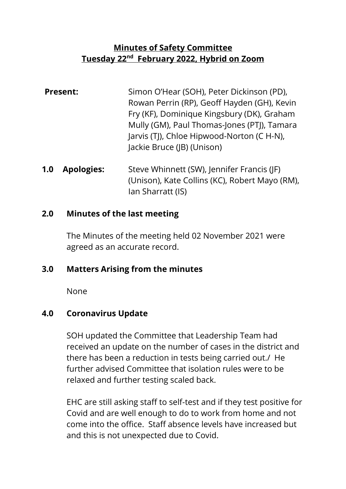# **Minutes of Safety Committee Tuesday 22 nd February 2022, Hybrid on Zoom**

- **Present:** Simon O'Hear (SOH), Peter Dickinson (PD), Rowan Perrin (RP), Geoff Hayden (GH), Kevin Fry (KF), Dominique Kingsbury (DK), Graham Mully (GM), Paul Thomas-Jones (PTJ), Tamara Jarvis (TJ), Chloe Hipwood-Norton (C H-N), Jackie Bruce (JB) (Unison)
- **1.0 Apologies:** Steve Whinnett (SW), Jennifer Francis (JF) (Unison), Kate Collins (KC), Robert Mayo (RM), Ian Sharratt (IS)

#### **2.0 Minutes of the last meeting**

The Minutes of the meeting held 02 November 2021 were agreed as an accurate record.

#### **3.0 Matters Arising from the minutes**

None

#### **4.0 Coronavirus Update**

SOH updated the Committee that Leadership Team had received an update on the number of cases in the district and there has been a reduction in tests being carried out./ He further advised Committee that isolation rules were to be relaxed and further testing scaled back.

EHC are still asking staff to self-test and if they test positive for Covid and are well enough to do to work from home and not come into the office. Staff absence levels have increased but and this is not unexpected due to Covid.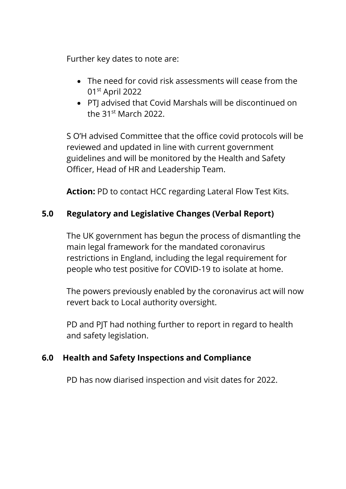Further key dates to note are:

- The need for covid risk assessments will cease from the 01st April 2022
- PTJ advised that Covid Marshals will be discontinued on the 31st March 2022.

S O'H advised Committee that the office covid protocols will be reviewed and updated in line with current government guidelines and will be monitored by the Health and Safety Officer, Head of HR and Leadership Team.

**Action:** PD to contact HCC regarding Lateral Flow Test Kits.

# **5.0 Regulatory and Legislative Changes (Verbal Report)**

The UK government has begun the process of dismantling the main legal framework for the mandated coronavirus restrictions in England, including the legal requirement for people who test positive for COVID-19 to isolate at home.

The powers previously enabled by the coronavirus act will now revert back to Local authority oversight.

PD and PJT had nothing further to report in regard to health and safety legislation.

## **6.0 Health and Safety Inspections and Compliance**

PD has now diarised inspection and visit dates for 2022.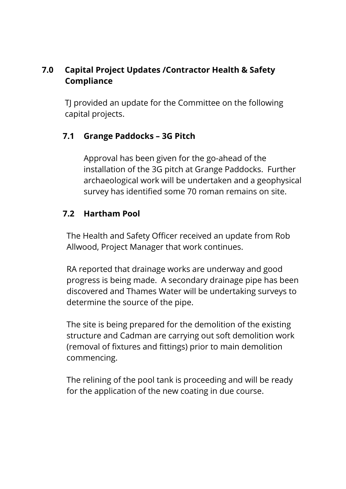# **7.0 Capital Project Updates /Contractor Health & Safety Compliance**

TJ provided an update for the Committee on the following capital projects.

# **7.1 Grange Paddocks – 3G Pitch**

Approval has been given for the go-ahead of the installation of the 3G pitch at Grange Paddocks. Further archaeological work will be undertaken and a geophysical survey has identified some 70 roman remains on site.

# **7.2 Hartham Pool**

The Health and Safety Officer received an update from Rob Allwood, Project Manager that work continues.

RA reported that drainage works are underway and good progress is being made. A secondary drainage pipe has been discovered and Thames Water will be undertaking surveys to determine the source of the pipe.

The site is being prepared for the demolition of the existing structure and Cadman are carrying out soft demolition work (removal of fixtures and fittings) prior to main demolition commencing.

The relining of the pool tank is proceeding and will be ready for the application of the new coating in due course.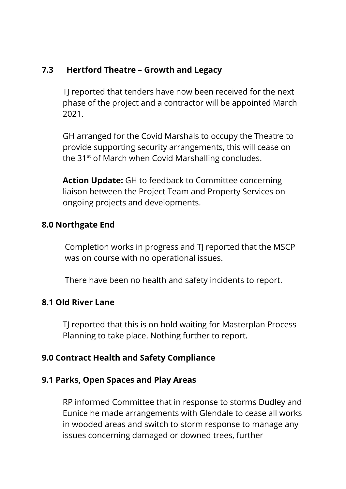#### **7.3 Hertford Theatre – Growth and Legacy**

TJ reported that tenders have now been received for the next phase of the project and a contractor will be appointed March 2021.

GH arranged for the Covid Marshals to occupy the Theatre to provide supporting security arrangements, this will cease on the 31<sup>st</sup> of March when Covid Marshalling concludes.

**Action Update:** GH to feedback to Committee concerning liaison between the Project Team and Property Services on ongoing projects and developments.

#### **8.0 Northgate End**

Completion works in progress and TJ reported that the MSCP was on course with no operational issues.

There have been no health and safety incidents to report.

#### **8.1 Old River Lane**

TJ reported that this is on hold waiting for Masterplan Process Planning to take place. Nothing further to report.

## **9.0 Contract Health and Safety Compliance**

#### **9.1 Parks, Open Spaces and Play Areas**

RP informed Committee that in response to storms Dudley and Eunice he made arrangements with Glendale to cease all works in wooded areas and switch to storm response to manage any issues concerning damaged or downed trees, further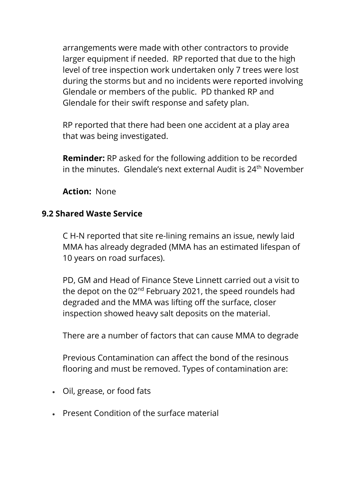arrangements were made with other contractors to provide larger equipment if needed. RP reported that due to the high level of tree inspection work undertaken only 7 trees were lost during the storms but and no incidents were reported involving Glendale or members of the public. PD thanked RP and Glendale for their swift response and safety plan.

RP reported that there had been one accident at a play area that was being investigated.

**Reminder:** RP asked for the following addition to be recorded in the minutes. Glendale's next external Audit is  $24<sup>th</sup>$  November

**Action:** None

## **9.2 Shared Waste Service**

C H-N reported that site re-lining remains an issue, newly laid MMA has already degraded (MMA has an estimated lifespan of 10 years on road surfaces).

PD, GM and Head of Finance Steve Linnett carried out a visit to the depot on the 02<sup>nd</sup> February 2021, the speed roundels had degraded and the MMA was lifting off the surface, closer inspection showed heavy salt deposits on the material.

There are a number of factors that can cause MMA to degrade

Previous Contamination can affect the bond of the resinous flooring and must be removed. Types of contamination are:

- Oil, grease, or food fats
- Present Condition of the surface material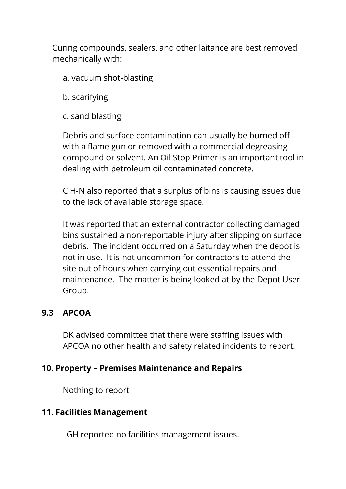Curing compounds, sealers, and other laitance are best removed mechanically with:

- a. vacuum shot-blasting
- b. scarifying
- c. sand blasting

Debris and surface contamination can usually be burned off with a flame gun or removed with a commercial degreasing compound or solvent. An Oil Stop Primer is an important tool in dealing with petroleum oil contaminated concrete.

C H-N also reported that a surplus of bins is causing issues due to the lack of available storage space.

It was reported that an external contractor collecting damaged bins sustained a non-reportable injury after slipping on surface debris. The incident occurred on a Saturday when the depot is not in use. It is not uncommon for contractors to attend the site out of hours when carrying out essential repairs and maintenance. The matter is being looked at by the Depot User Group.

# **9.3 APCOA**

DK advised committee that there were staffing issues with APCOA no other health and safety related incidents to report.

## **10. Property – Premises Maintenance and Repairs**

Nothing to report

## **11. Facilities Management**

GH reported no facilities management issues.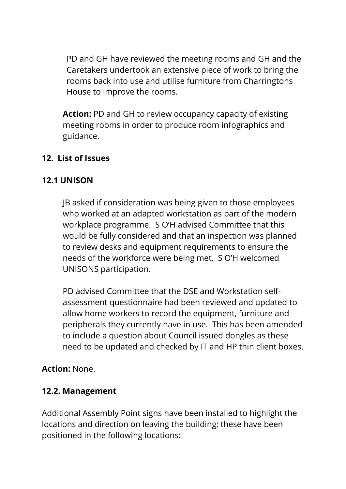PD and GH have reviewed the meeting rooms and GH and the Caretakers undertook an extensive piece of work to bring the rooms back into use and utilise furniture from Charringtons House to improve the rooms.

**Action:** PD and GH to review occupancy capacity of existing meeting rooms in order to produce room infographics and guidance.

# **12. List of Issues**

# **12.1 UNISON**

JB asked if consideration was being given to those employees who worked at an adapted workstation as part of the modern workplace programme. S O'H advised Committee that this would be fully considered and that an inspection was planned to review desks and equipment requirements to ensure the needs of the workforce were being met. S O'H welcomed UNISONS participation.

PD advised Committee that the DSE and Workstation selfassessment questionnaire had been reviewed and updated to allow home workers to record the equipment, furniture and peripherals they currently have in use. This has been amended to include a question about Council issued dongles as these need to be updated and checked by IT and HP thin client boxes.

## **Action:** None.

## **12.2. Management**

Additional Assembly Point signs have been installed to highlight the locations and direction on leaving the building; these have been positioned in the following locations: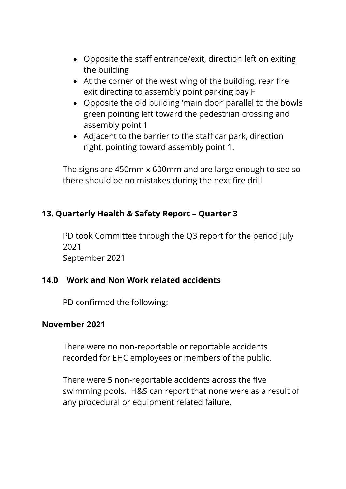- Opposite the staff entrance/exit, direction left on exiting the building
- At the corner of the west wing of the building, rear fire exit directing to assembly point parking bay F
- Opposite the old building 'main door' parallel to the bowls green pointing left toward the pedestrian crossing and assembly point 1
- Adjacent to the barrier to the staff car park, direction right, pointing toward assembly point 1.

The signs are 450mm x 600mm and are large enough to see so there should be no mistakes during the next fire drill.

# **13. Quarterly Health & Safety Report – Quarter 3**

PD took Committee through the Q3 report for the period July 2021 September 2021

## **14.0 Work and Non Work related accidents**

PD confirmed the following:

#### **November 2021**

There were no non-reportable or reportable accidents recorded for EHC employees or members of the public.

There were 5 non-reportable accidents across the five swimming pools. H&S can report that none were as a result of any procedural or equipment related failure.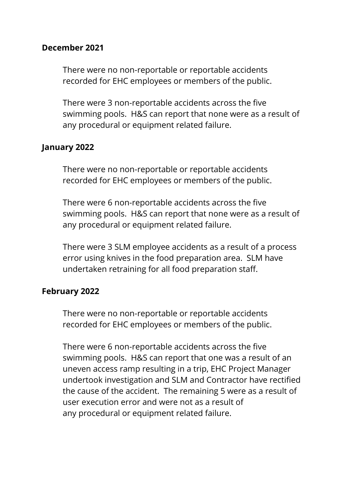#### **December 2021**

There were no non-reportable or reportable accidents recorded for EHC employees or members of the public.

There were 3 non-reportable accidents across the five swimming pools. H&S can report that none were as a result of any procedural or equipment related failure.

#### **January 2022**

There were no non-reportable or reportable accidents recorded for EHC employees or members of the public.

There were 6 non-reportable accidents across the five swimming pools. H&S can report that none were as a result of any procedural or equipment related failure.

There were 3 SLM employee accidents as a result of a process error using knives in the food preparation area. SLM have undertaken retraining for all food preparation staff.

#### **February 2022**

There were no non-reportable or reportable accidents recorded for EHC employees or members of the public.

There were 6 non-reportable accidents across the five swimming pools. H&S can report that one was a result of an uneven access ramp resulting in a trip, EHC Project Manager undertook investigation and SLM and Contractor have rectified the cause of the accident. The remaining 5 were as a result of user execution error and were not as a result of any procedural or equipment related failure.